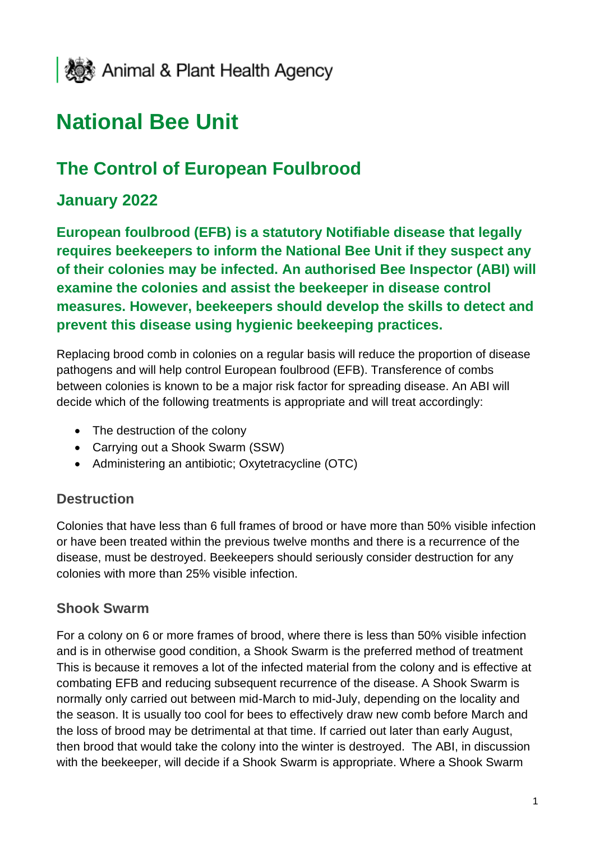

# **National Bee Unit**

# **The Control of European Foulbrood**

## **January 2022**

**European foulbrood (EFB) is a statutory Notifiable disease that legally requires beekeepers to inform the National Bee Unit if they suspect any of their colonies may be infected. An authorised Bee Inspector (ABI) will examine the colonies and assist the beekeeper in disease control measures. However, beekeepers should develop the skills to detect and prevent this disease using hygienic beekeeping practices.**

Replacing brood comb in colonies on a regular basis will reduce the proportion of disease pathogens and will help control European foulbrood (EFB). Transference of combs between colonies is known to be a major risk factor for spreading disease. An ABI will decide which of the following treatments is appropriate and will treat accordingly:

- The destruction of the colony
- Carrying out a Shook Swarm (SSW)
- Administering an antibiotic; Oxytetracycline (OTC)

#### **Destruction**

Colonies that have less than 6 full frames of brood or have more than 50% visible infection or have been treated within the previous twelve months and there is a recurrence of the disease, must be destroyed. Beekeepers should seriously consider destruction for any colonies with more than 25% visible infection.

#### **Shook Swarm**

For a colony on 6 or more frames of brood, where there is less than 50% visible infection and is in otherwise good condition, a Shook Swarm is the preferred method of treatment This is because it removes a lot of the infected material from the colony and is effective at combating EFB and reducing subsequent recurrence of the disease. A Shook Swarm is normally only carried out between mid-March to mid-July, depending on the locality and the season. It is usually too cool for bees to effectively draw new comb before March and the loss of brood may be detrimental at that time. If carried out later than early August, then brood that would take the colony into the winter is destroyed. The ABI, in discussion with the beekeeper, will decide if a Shook Swarm is appropriate. Where a Shook Swarm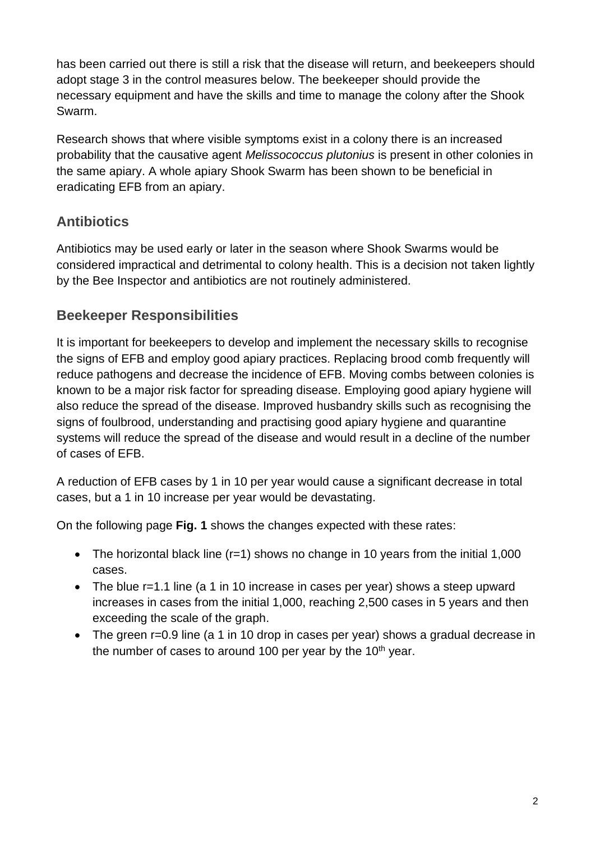has been carried out there is still a risk that the disease will return, and beekeepers should adopt stage 3 in the control measures below. The beekeeper should provide the necessary equipment and have the skills and time to manage the colony after the Shook Swarm.

Research shows that where visible symptoms exist in a colony there is an increased probability that the causative agent *Melissococcus plutonius* is present in other colonies in the same apiary. A whole apiary Shook Swarm has been shown to be beneficial in eradicating EFB from an apiary.

# **Antibiotics**

Antibiotics may be used early or later in the season where Shook Swarms would be considered impractical and detrimental to colony health. This is a decision not taken lightly by the Bee Inspector and antibiotics are not routinely administered.

### **Beekeeper Responsibilities**

It is important for beekeepers to develop and implement the necessary skills to recognise the signs of EFB and employ good apiary practices. Replacing brood comb frequently will reduce pathogens and decrease the incidence of EFB. Moving combs between colonies is known to be a major risk factor for spreading disease. Employing good apiary hygiene will also reduce the spread of the disease. Improved husbandry skills such as recognising the signs of foulbrood, understanding and practising good apiary hygiene and quarantine systems will reduce the spread of the disease and would result in a decline of the number of cases of EFB.

A reduction of EFB cases by 1 in 10 per year would cause a significant decrease in total cases, but a 1 in 10 increase per year would be devastating.

On the following page **Fig. 1** shows the changes expected with these rates:

- The horizontal black line  $(r=1)$  shows no change in 10 years from the initial 1,000 cases.
- The blue r=1.1 line (a 1 in 10 increase in cases per year) shows a steep upward increases in cases from the initial 1,000, reaching 2,500 cases in 5 years and then exceeding the scale of the graph.
- The green r=0.9 line (a 1 in 10 drop in cases per year) shows a gradual decrease in the number of cases to around 100 per year by the  $10<sup>th</sup>$  year.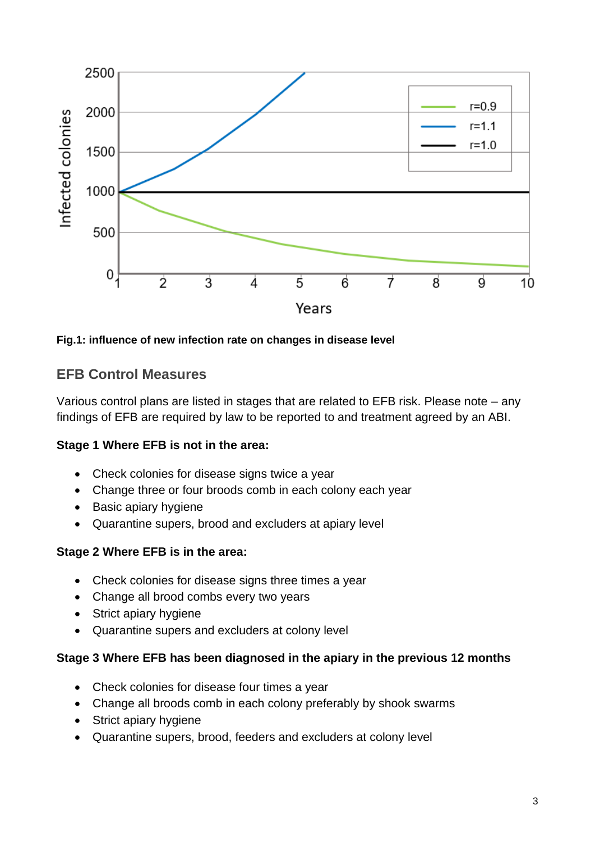

**Fig.1: influence of new infection rate on changes in disease level**

#### **EFB Control Measures**

Various control plans are listed in stages that are related to EFB risk. Please note – any findings of EFB are required by law to be reported to and treatment agreed by an ABI.

#### **Stage 1 Where EFB is not in the area:**

- Check colonies for disease signs twice a year
- Change three or four broods comb in each colony each year
- Basic apiary hygiene
- Quarantine supers, brood and excluders at apiary level

#### **Stage 2 Where EFB is in the area:**

- Check colonies for disease signs three times a year
- Change all brood combs every two years
- Strict apiary hygiene
- Quarantine supers and excluders at colony level

#### **Stage 3 Where EFB has been diagnosed in the apiary in the previous 12 months**

- Check colonies for disease four times a year
- Change all broods comb in each colony preferably by shook swarms
- Strict apiary hygiene
- Quarantine supers, brood, feeders and excluders at colony level